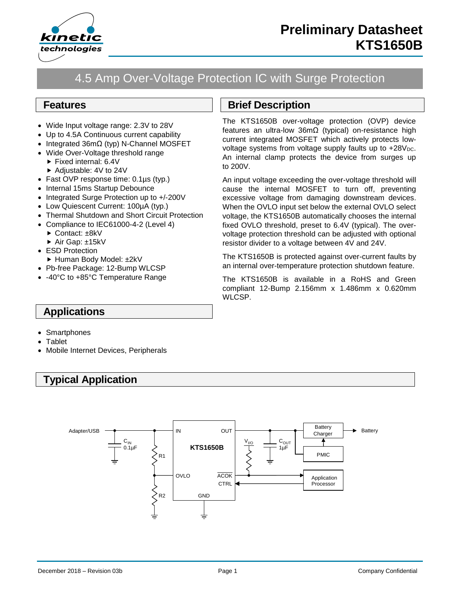

# 4.5 Amp Over-Voltage Protection IC with Surge Protection

### **Features**

- Wide Input voltage range: 2.3V to 28V
- Up to 4.5A Continuous current capability
- Integrated 36mΩ (typ) N-Channel MOSFET
- Wide Over-Voltage threshold range
	- Fixed internal: 6.4V
	- ▶ Adjustable: 4V to 24V
- Fast OVP response time: 0.1µs (typ.)
- Internal 15ms Startup Debounce
- Integrated Surge Protection up to +/-200V
- Low Quiescent Current: 100µA (typ.)
- Thermal Shutdown and Short Circuit Protection
- Compliance to IEC61000-4-2 (Level 4)
	- ► Contact: ±8kV
	- ▶ Air Gap: ±15kV
- ESD Protection
- ► Human Body Model: ±2kV
- Pb-free Package: 12-Bump WLCSP
- -40°C to +85°C Temperature Range

## **Brief Description**

The KTS1650B over-voltage protection (OVP) device features an ultra-low 36mΩ (typical) on-resistance high current integrated MOSFET which actively protects lowvoltage systems from voltage supply faults up to  $+28V_{DC}$ . An internal clamp protects the device from surges up to 200V.

An input voltage exceeding the over-voltage threshold will cause the internal MOSFET to turn off, preventing excessive voltage from damaging downstream devices. When the OVLO input set below the external OVLO select voltage, the KTS1650B automatically chooses the internal fixed OVLO threshold, preset to 6.4V (typical). The overvoltage protection threshold can be adjusted with optional resistor divider to a voltage between 4V and 24V.

The KTS1650B is protected against over-current faults by an internal over-temperature protection shutdown feature.

The KTS1650B is available in a RoHS and Green compliant 12-Bump 2.156mm x 1.486mm x 0.620mm WLCSP.

### **Applications**

- Smartphones
- Tablet
- Mobile Internet Devices, Peripherals

# **Typical Application**

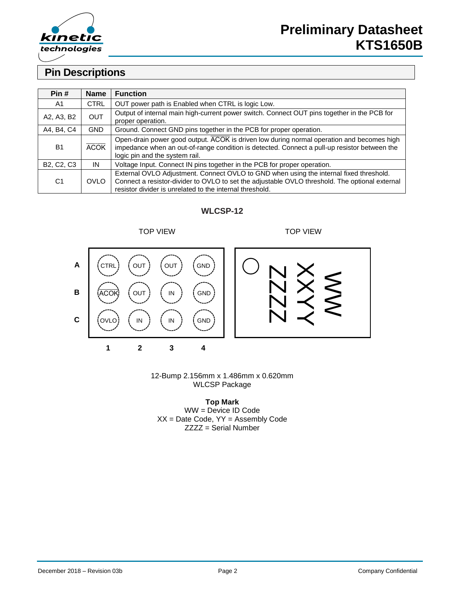

### **Pin Descriptions**

| Pin#                                             | <b>Name</b> | <b>Function</b>                                                                                                                                                                                                                                      |
|--------------------------------------------------|-------------|------------------------------------------------------------------------------------------------------------------------------------------------------------------------------------------------------------------------------------------------------|
| A1                                               | <b>CTRL</b> | OUT power path is Enabled when CTRL is logic Low.                                                                                                                                                                                                    |
| A2, A3, B2                                       | <b>OUT</b>  | Output of internal main high-current power switch. Connect OUT pins together in the PCB for<br>proper operation.                                                                                                                                     |
| A4, B4, C4                                       | <b>GND</b>  | Ground. Connect GND pins together in the PCB for proper operation.                                                                                                                                                                                   |
| <b>B1</b>                                        | <b>ACOK</b> | Open-drain power good output. ACOK is driven low during normal operation and becomes high<br>impedance when an out-of-range condition is detected. Connect a pull-up resistor between the<br>logic pin and the system rail.                          |
| B <sub>2</sub> , C <sub>2</sub> , C <sub>3</sub> | IN          | Voltage Input. Connect IN pins together in the PCB for proper operation.                                                                                                                                                                             |
| C <sub>1</sub>                                   | <b>OVLO</b> | External OVLO Adjustment. Connect OVLO to GND when using the internal fixed threshold.<br>Connect a resistor-divider to OVLO to set the adjustable OVLO threshold. The optional external<br>resistor divider is unrelated to the internal threshold. |

### **WLCSP-12**



12-Bump 2.156mm x 1.486mm x 0.620mm WLCSP Package

**Top Mark** WW = Device ID Code  $XX =$  Date Code,  $YY =$  Assembly Code ZZZZ = Serial Number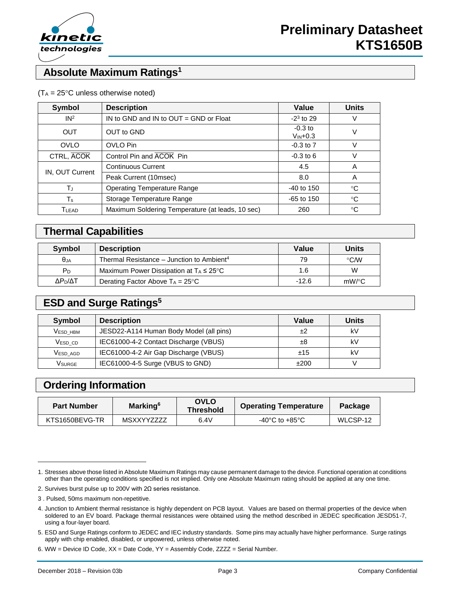

## **Absolute Maximum Ratings<sup>1</sup>**

#### $(T_A = 25^{\circ}C$  unless otherwise noted)

| <b>Symbol</b>   | <b>Description</b>                                                                            | Value                              | <b>Units</b> |  |
|-----------------|-----------------------------------------------------------------------------------------------|------------------------------------|--------------|--|
| IN <sup>2</sup> | IN to GND and IN to OUT = GND or Float                                                        | $-2^3$ to 29                       |              |  |
| <b>OUT</b>      | OUT to GND                                                                                    | $-0.3$ to<br>$V_{\text{IN}} + 0.3$ |              |  |
| <b>OVLO</b>     | OVLO Pin                                                                                      | $-0.3$ to $7$                      |              |  |
| CTRL, ACOK      | Control Pin and ACOK Pin                                                                      | $-0.3$ to 6                        |              |  |
|                 | <b>Continuous Current</b>                                                                     | 4.5                                | A            |  |
| IN, OUT Current | Peak Current (10msec)<br>8.0<br>A<br><b>Operating Temperature Range</b><br>$-40$ to 150<br>°C |                                    |              |  |
| TJ              |                                                                                               |                                    |              |  |
| Ts              | Storage Temperature Range                                                                     | $-65$ to 150                       | °C           |  |
| TLEAD           | Maximum Soldering Temperature (at leads, 10 sec)                                              | 260                                | °C           |  |

### **Thermal Capabilities**

| Symbol              | <b>Description</b>                                    | Value   | Units       |
|---------------------|-------------------------------------------------------|---------|-------------|
| θja                 | Thermal Resistance – Junction to Ambient <sup>4</sup> | 79      | $\circ$ CMV |
| PD                  | Maximum Power Dissipation at $T_A \leq 25^{\circ}C$   | 1.6     | W           |
| ΔΡ <sub>Ρ</sub> /ΔΤ | Derating Factor Above $T_A = 25^{\circ}C$             | $-12.6$ | $mW$ /°C    |

### **ESD and Surge Ratings<sup>5</sup>**

| Symbol              | <b>Description</b>                      | Value | <b>Units</b> |  |
|---------------------|-----------------------------------------|-------|--------------|--|
| <b>VESD HBM</b>     | JESD22-A114 Human Body Model (all pins) | ±2    | kV           |  |
| V <sub>ESD</sub> CD | IEC61000-4-2 Contact Discharge (VBUS)   | ±8    | kV           |  |
| VESD AGD            | IEC61000-4-2 Air Gap Discharge (VBUS)   | ±15   | k٧           |  |
| Vsurge              | IEC61000-4-5 Surge (VBUS to GND)        | ±200  |              |  |

### **Ordering Information**

| <b>Part Number</b> | Marking <sup>6</sup> | <b>OVLO</b><br><b>Threshold</b> | <b>Operating Temperature</b> | Package  |  |
|--------------------|----------------------|---------------------------------|------------------------------|----------|--|
| KTS1650BEVG-TR     | <b>MSXXYYZZZZ</b>    | 6.4V                            | -40°C to +85°C               | WLCSP-12 |  |

l

<sup>1.</sup> Stresses above those listed in Absolute Maximum Ratings may cause permanent damage to the device. Functional operation at conditions other than the operating conditions specified is not implied. Only one Absolute Maximum rating should be applied at any one time.

<sup>2.</sup> Survives burst pulse up to 200V with 2Ω series resistance.

<sup>3</sup> . Pulsed, 50ms maximum non-repetitive.

<sup>4.</sup> Junction to Ambient thermal resistance is highly dependent on PCB layout. Values are based on thermal properties of the device when soldered to an EV board. Package thermal resistances were obtained using the method described in JEDEC specification JESD51-7, using a four-layer board.

<sup>5.</sup> ESD and Surge Ratings conform to JEDEC and IEC industry standards. Some pins may actually have higher performance. Surge ratings apply with chip enabled, disabled, or unpowered, unless otherwise noted.

<sup>6.</sup> WW = Device ID Code, XX = Date Code, YY = Assembly Code, ZZZZ = Serial Number.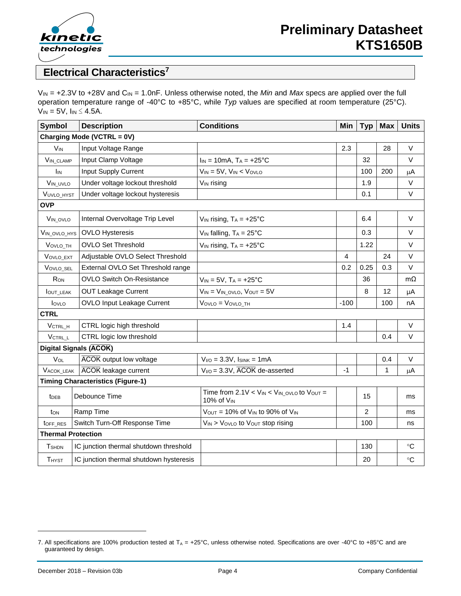

## **Electrical Characteristics<sup>7</sup>**

V<sub>IN</sub> = +2.3V to +28V and C<sub>IN</sub> = 1.0nF. Unless otherwise noted, the *Min* and *Max* specs are applied over the full operation temperature range of -40°C to +85°C, while *Typ* values are specified at room temperature (25°C).  $V_{IN} = 5V$ ,  $I_{IN} \leq 4.5A$ .

| <b>Symbol</b>                            | <b>Description</b>                      | <b>Conditions</b>                                                                 | Min    | Typ            | <b>Max</b> | <b>Units</b> |  |
|------------------------------------------|-----------------------------------------|-----------------------------------------------------------------------------------|--------|----------------|------------|--------------|--|
| Charging Mode (VCTRL = 0V)               |                                         |                                                                                   |        |                |            |              |  |
| <b>V<sub>IN</sub></b>                    | Input Voltage Range                     |                                                                                   | 2.3    |                | 28         | V            |  |
| VIN_CLAMP                                | Input Clamp Voltage                     | $I_{IN} = 10mA$ , $T_A = +25°C$                                                   |        | 32             |            | $\vee$       |  |
| Ìіn                                      | <b>Input Supply Current</b>             | $V_{IN} = 5V$ , $V_{IN} < V_{OVLO}$                                               |        | 100            | 200        | μA           |  |
| VIN_UVLO                                 | Under voltage lockout threshold         | $V_{IN}$ rising                                                                   |        | 1.9            |            | $\vee$       |  |
| <b>VUVLO HYST</b>                        | Under voltage lockout hysteresis        |                                                                                   |        | 0.1            |            | $\vee$       |  |
| <b>OVP</b>                               |                                         |                                                                                   |        |                |            |              |  |
| VIN_OVLO                                 | Internal Overvoltage Trip Level         | $V_{IN}$ rising, $T_A = +25$ °C                                                   |        | 6.4            |            | V            |  |
| VIN_OVLO_HYS                             | <b>OVLO Hysteresis</b>                  | $V_{IN}$ falling, $T_A = 25^{\circ}C$                                             |        | 0.3            |            | V            |  |
| VOVLO TH                                 | <b>OVLO Set Threshold</b>               | $V_{IN}$ rising, $T_A = +25^{\circ}C$                                             |        | 1.22           |            | $\vee$       |  |
| VOVLO EXT                                | Adjustable OVLO Select Threshold        |                                                                                   | 4      |                | 24         | V            |  |
| VOVLO_SEL                                | External OVLO Set Threshold range       |                                                                                   | 0.2    | 0.25           | 0.3        | $\vee$       |  |
| RON                                      | <b>OVLO Switch On-Resistance</b>        | $V_{IN} = 5V$ , $T_A = +25^{\circ}C$                                              |        | 36             |            | $m\Omega$    |  |
| <b>OUT LEAK</b>                          | <b>OUT Leakage Current</b>              | $V_{IN} = V_{IN}$ ovlo, $V_{OUT} = 5V$                                            |        | 8              | 12         | μA           |  |
| lovLo                                    | <b>OVLO Input Leakage Current</b>       | VOVLO = VOVLO TH                                                                  | $-100$ |                | 100        | nA           |  |
| <b>CTRL</b>                              |                                         |                                                                                   |        |                |            |              |  |
| VCTRL_H                                  | CTRL logic high threshold               |                                                                                   | 1.4    |                |            | V            |  |
| VCTRL_L                                  | CTRL logic low threshold                |                                                                                   |        |                | 0.4        | V            |  |
| Digital Signals (ACOK)                   |                                         |                                                                                   |        |                |            |              |  |
| VOL                                      | <b>ACOK</b> output low voltage          | $V_{I/O} = 3.3V$ , $I_{SINK} = 1mA$                                               |        |                | 0.4        | $\vee$       |  |
| <b>VACOK LEAK</b>                        | <b>ACOK</b> leakage current             | $V_{I/O}$ = 3.3V, $\overline{ACOK}$ de-asserted                                   | $-1$   |                | 1          | μA           |  |
| <b>Timing Characteristics (Figure-1)</b> |                                         |                                                                                   |        |                |            |              |  |
| t <sub>DEB</sub>                         | Debounce Time                           | Time from $2.1V < V_{IN} < V_{IN\_OVLO}$ to $V_{OUT} =$<br>10% of V <sub>IN</sub> |        | 15             |            | ms           |  |
| ton                                      | Ramp Time                               | $V_{OUT}$ = 10% of $V_{IN}$ to 90% of $V_{IN}$                                    |        | $\overline{2}$ |            | ms           |  |
| toFF_RES                                 | Switch Turn-Off Response Time           | VIN > VovLo to Vout stop rising                                                   |        | 100            |            | ns           |  |
| <b>Thermal Protection</b>                |                                         |                                                                                   |        |                |            |              |  |
| <b>T</b> SHDN                            | IC junction thermal shutdown threshold  |                                                                                   |        | 130            |            | °C           |  |
| <b>THYST</b>                             | IC junction thermal shutdown hysteresis |                                                                                   |        | 20             |            | $^{\circ}C$  |  |

l

<sup>7.</sup> All specifications are 100% production tested at  $T_A = +25^{\circ}C$ , unless otherwise noted. Specifications are over -40°C to +85°C and are guaranteed by design.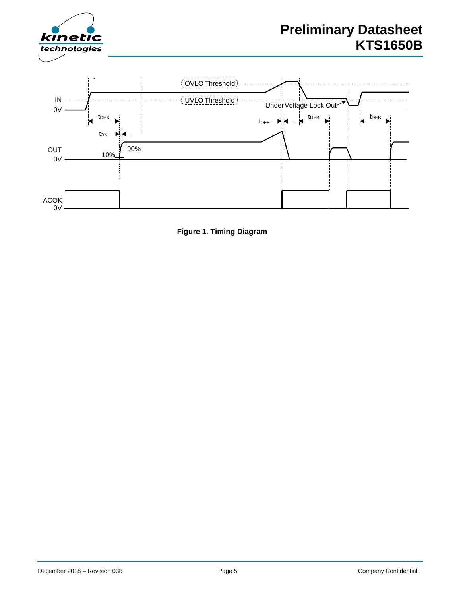



**Figure 1. Timing Diagram**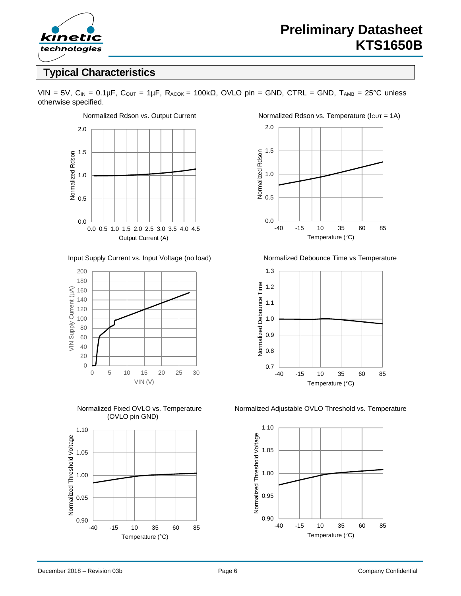

## **Typical Characteristics**

VIN = 5V,  $C_{IN}$  = 0.1µF,  $C_{OUT}$  = 1µF,  $R_{ACOK}$  = 100k $\Omega$ , OVLO pin = GND, CTRL = GND,  $T_{AMB}$  = 25°C unless otherwise specified.



Input Supply Current vs. Input Voltage (no load) Normalized Debounce Time vs Temperature



(OVLO pin GND)



Normalized Rdson vs. Output Current Normalized Rdson vs. Temperature ( $I_{OUT} = 1A$ )





Normalized Fixed OVLO vs. Temperature Normalized Adjustable OVLO Threshold vs. Temperature

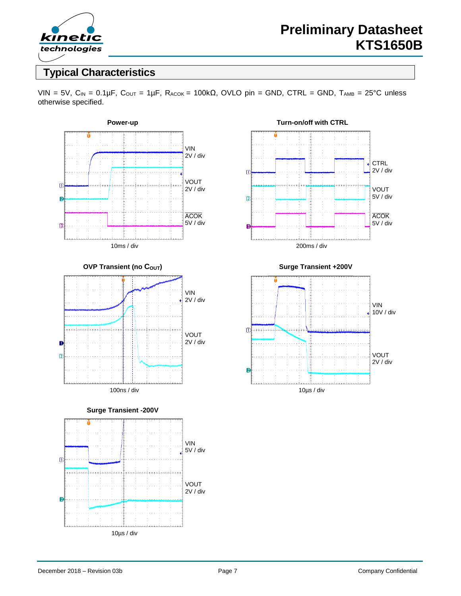

## **Typical Characteristics**

VIN = 5V,  $C_{IN}$  = 0.1µF,  $C_{OUT}$  = 1µF,  $R_{ACOK}$  = 100k $\Omega$ , OVLO pin = GND, CTRL = GND,  $T_{AMB}$  = 25°C unless otherwise specified.







200ms / div

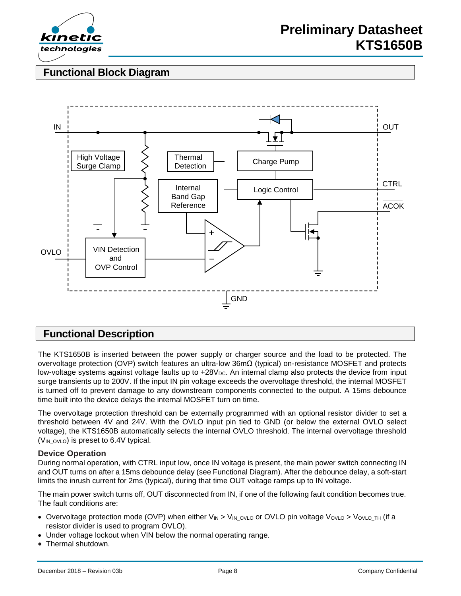

## **Functional Block Diagram**



### **Functional Description**

The KTS1650B is inserted between the power supply or charger source and the load to be protected. The overvoltage protection (OVP) switch features an ultra-low 36mΩ (typical) on-resistance MOSFET and protects low-voltage systems against voltage faults up to +28V<sub>DC</sub>. An internal clamp also protects the device from input surge transients up to 200V. If the input IN pin voltage exceeds the overvoltage threshold, the internal MOSFET is turned off to prevent damage to any downstream components connected to the output. A 15ms debounce time built into the device delays the internal MOSFET turn on time.

The overvoltage protection threshold can be externally programmed with an optional resistor divider to set a threshold between 4V and 24V. With the OVLO input pin tied to GND (or below the external OVLO select voltage), the KTS1650B automatically selects the internal OVLO threshold. The internal overvoltage threshold  $(V_{IN_0VLO})$  is preset to 6.4V typical.

### **Device Operation**

During normal operation, with CTRL input low, once IN voltage is present, the main power switch connecting IN and OUT turns on after a 15ms debounce delay (see Functional Diagram). After the debounce delay, a soft-start limits the inrush current for 2ms (typical), during that time OUT voltage ramps up to IN voltage.

The main power switch turns off, OUT disconnected from IN, if one of the following fault condition becomes true. The fault conditions are:

- Overvoltage protection mode (OVP) when either  $V_{IN} > V_{IN\_OVID}$  or OVLO pin voltage  $V_{OVLO} > V_{OVLO\_TH}$  (if a resistor divider is used to program OVLO).
- Under voltage lockout when VIN below the normal operating range.
- Thermal shutdown.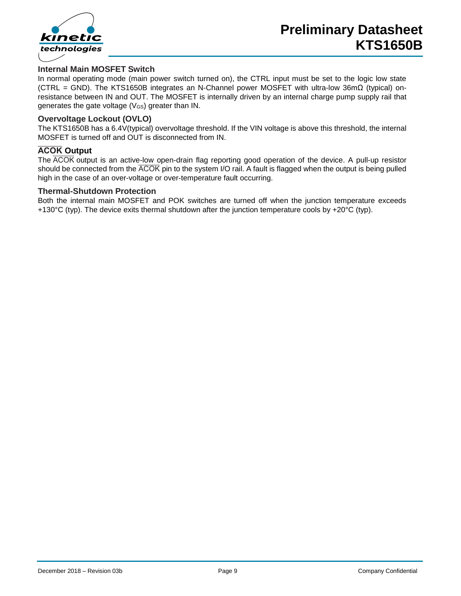

### **Internal Main MOSFET Switch**

In normal operating mode (main power switch turned on), the CTRL input must be set to the logic low state (CTRL = GND). The KTS1650B integrates an N-Channel power MOSFET with ultra-low 36mΩ (typical) onresistance between IN and OUT. The MOSFET is internally driven by an internal charge pump supply rail that generates the gate voltage (VGS) greater than IN.

#### **Overvoltage Lockout (OVLO)**

The KTS1650B has a 6.4V(typical) overvoltage threshold. If the VIN voltage is above this threshold, the internal MOSFET is turned off and OUT is disconnected from IN.

#### **ACOK** Output

The  $\overline{ACOK}$  output is an active-low open-drain flag reporting good operation of the device. A pull-up resistor should be connected from the  $\overline{ACOK}$  pin to the system I/O rail. A fault is flagged when the output is being pulled high in the case of an over-voltage or over-temperature fault occurring.

#### **Thermal-Shutdown Protection**

Both the internal main MOSFET and POK switches are turned off when the junction temperature exceeds +130 $^{\circ}$ C (typ). The device exits thermal shutdown after the junction temperature cools by +20 $^{\circ}$ C (typ).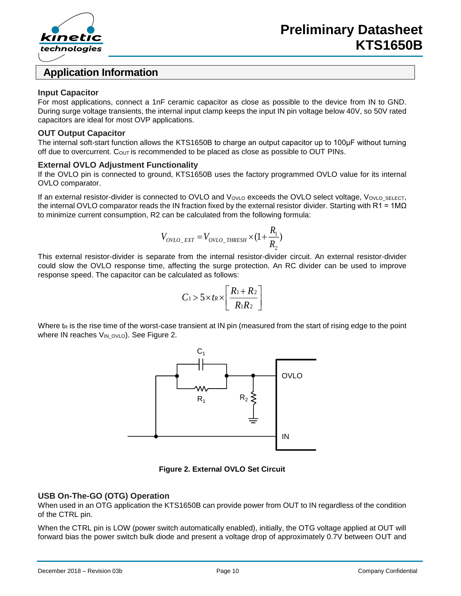

### **Application Information**

#### **Input Capacitor**

For most applications, connect a 1nF ceramic capacitor as close as possible to the device from IN to GND. During surge voltage transients, the internal input clamp keeps the input IN pin voltage below 40V, so 50V rated capacitors are ideal for most OVP applications.

#### **OUT Output Capacitor**

The internal soft-start function allows the KTS1650B to charge an output capacitor up to 100μF without turning off due to overcurrent.  $C_{\text{OUT}}$  is recommended to be placed as close as possible to OUT PINs.

#### **External OVLO Adjustment Functionality**

If the OVLO pin is connected to ground, KTS1650B uses the factory programmed OVLO value for its internal OVLO comparator.

If an external resistor-divider is connected to OVLO and VovLo exceeds the OVLO select voltage, VovLo\_SELECT, the internal OVLO comparator reads the IN fraction fixed by the external resistor divider. Starting with R1 = 1M $\Omega$ to minimize current consumption, R2 can be calculated from the following formula:

$$
V_{OVLO\_EXT} = V_{OVLO\_THRESH} \times (1 + \frac{R_1}{R_2})
$$

This external resistor-divider is separate from the internal resistor-divider circuit. An external resistor-divider could slow the OVLO response time, affecting the surge protection. An RC divider can be used to improve response speed. The capacitor can be calculated as follows:

$$
C_1 > 5 \times t_R \times \left[ \frac{R_1 + R_2}{R_1 R_2} \right]
$$

Where  $t<sub>R</sub>$  is the rise time of the worst-case transient at IN pin (measured from the start of rising edge to the point where IN reaches VIN\_OVLO). See Figure 2.



**Figure 2. External OVLO Set Circuit**

#### **USB On-The-GO (OTG) Operation**

When used in an OTG application the KTS1650B can provide power from OUT to IN regardless of the condition of the CTRL pin.

When the CTRL pin is LOW (power switch automatically enabled), initially, the OTG voltage applied at OUT will forward bias the power switch bulk diode and present a voltage drop of approximately 0.7V between OUT and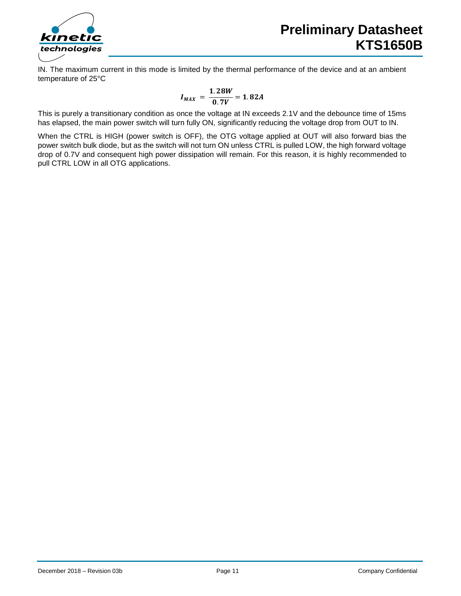

IN. The maximum current in this mode is limited by the thermal performance of the device and at an ambient temperature of 25°C

$$
I_{MAX} = \frac{1.28W}{0.7V} = 1.82A
$$

This is purely a transitionary condition as once the voltage at IN exceeds 2.1V and the debounce time of 15ms has elapsed, the main power switch will turn fully ON, significantly reducing the voltage drop from OUT to IN.

When the CTRL is HIGH (power switch is OFF), the OTG voltage applied at OUT will also forward bias the power switch bulk diode, but as the switch will not turn ON unless CTRL is pulled LOW, the high forward voltage drop of 0.7V and consequent high power dissipation will remain. For this reason, it is highly recommended to pull CTRL LOW in all OTG applications.